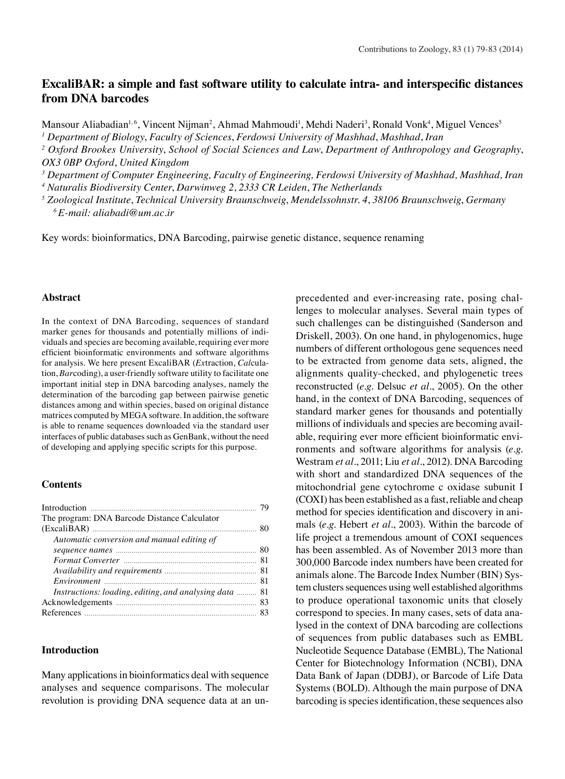# **ExcaliBAR: a simple and fast software utility to calculate intra- and interspecific distances from DNA barcodes**

Mansour Aliabadian<sup>1,6</sup>, Vincent Nijman<sup>2</sup>, Ahmad Mahmoudi<sup>1</sup>, Mehdi Naderi<sup>3</sup>, Ronald Vonk<sup>4</sup>, Miguel Vences<sup>5</sup>

*1 Department of Biology*, *Faculty of Sciences*, *Ferdowsi University of Mashhad*, *Mashhad*, *Iran*

*2 Oxford Brookes University*, *School of Social Sciences and Law*, *Department of Anthropology and Geography*, *OX3 0BP Oxford*, *United Kingdom*

*3 Department of Computer Engineering, Faculty of Engineering, Ferdowsi University of Mashhad, Mashhad, Iran 4 Naturalis Biodiversity Center*, *Darwinweg 2*, *2333 CR Leiden*, *The Netherlands*

*5 Zoological Institute*, *Technical University Braunschweig*, *Mendelssohnstr*. *4*, *38106 Braunschweig*, *Germany 6 E-mail: aliabadi@um.ac.ir*

Key words: bioinformatics, DNA Barcoding, pairwise genetic distance, sequence renaming

## **Abstract**

In the context of DNA Barcoding, sequences of standard marker genes for thousands and potentially millions of individuals and species are becoming available, requiring ever more efficient bioinformatic environments and software algorithms for analysis. We here present ExcaliBAR (*Ex*traction, *Cal*culation, *Bar*coding), a user-friendly software utility to facilitate one important initial step in DNA barcoding analyses, namely the determination of the barcoding gap between pairwise genetic distances among and within species, based on original distance matrices computed by MEGA software. In addition, the software is able to rename sequences downloaded via the standard user interfaces of public databases such as GenBank, without the need of developing and applying specific scripts for this purpose.

## **Contents**

|                                                        | 79 |
|--------------------------------------------------------|----|
| The program: DNA Barcode Distance Calculator           |    |
|                                                        |    |
| Automatic conversion and manual editing of             |    |
|                                                        |    |
|                                                        |    |
|                                                        |    |
|                                                        |    |
| Instructions: loading, editing, and analysing data  81 |    |
|                                                        |    |
|                                                        |    |

# **Introduction**

Many applications in bioinformatics deal with sequence analyses and sequence comparisons. The molecular revolution is providing DNA sequence data at an unprecedented and ever-increasing rate, posing challenges to molecular analyses. Several main types of such challenges can be distinguished (Sanderson and Driskell, 2003). On one hand, in phylogenomics, huge numbers of different orthologous gene sequences need to be extracted from genome data sets, aligned, the alignments quality-checked, and phylogenetic trees reconstructed (*e*.*g*. Delsuc *et al*., 2005). On the other hand, in the context of DNA Barcoding, sequences of standard marker genes for thousands and potentially millions of individuals and species are becoming available, requiring ever more efficient bioinformatic environments and software algorithms for analysis (*e*.*g*. Westram *et al*., 2011; Liu *et al*., 2012). DNA Barcoding with short and standardized DNA sequences of the mitochondrial gene cytochrome c oxidase subunit I (COXI) has been established as a fast, reliable and cheap method for species identification and discovery in animals (*e*.*g*. Hebert *et al*., 2003). Within the barcode of life project a tremendous amount of COXI sequences has been assembled. As of November 2013 more than 300,000 Barcode index numbers have been created for animals alone. The Barcode Index Number (BIN) System clusters sequences using well established algorithms to produce operational taxonomic units that closely correspond to species. In many cases, sets of data analysed in the context of DNA barcoding are collections of sequences from public databases such as EMBL Nucleotide Sequence Database (EMBL), The National Center for Biotechnology Information (NCBI), DNA Data Bank of Japan (DDBJ), or Barcode of Life Data Systems (BOLD). Although the main purpose of DNA barcoding is species identification, these sequences also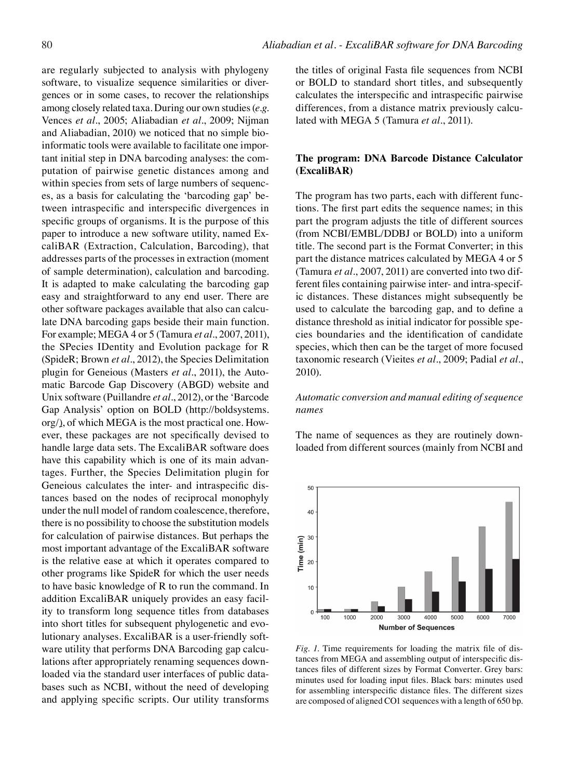are regularly subjected to analysis with phylogeny software, to visualize sequence similarities or divergences or in some cases, to recover the relationships among closely related taxa. During our own studies (*e*.*g*. Vences *et al*., 2005; Aliabadian *et al*., 2009; Nijman and Aliabadian, 2010) we noticed that no simple bioinformatic tools were available to facilitate one important initial step in DNA barcoding analyses: the computation of pairwise genetic distances among and within species from sets of large numbers of sequences, as a basis for calculating the 'barcoding gap' between intraspecific and interspecific divergences in specific groups of organisms. It is the purpose of this paper to introduce a new software utility, named ExcaliBAR (Extraction, Calculation, Barcoding), that addresses parts of the processes in extraction (moment of sample determination), calculation and barcoding. It is adapted to make calculating the barcoding gap easy and straightforward to any end user. There are other software packages available that also can calculate DNA barcoding gaps beside their main function. For example; MEGA 4 or 5 (Tamura *et al*., 2007, 2011), the SPecies IDentity and Evolution package for R (SpideR; Brown *et al*., 2012), the Species Delimitation plugin for Geneious (Masters *et al*., 2011), the Automatic Barcode Gap Discovery (ABGD) website and Unix software (Puillandre *et al*., 2012), or the 'Barcode Gap Analysis' option on BOLD (http://boldsystems. org/), of which MEGA is the most practical one. However, these packages are not specifically devised to handle large data sets. The ExcaliBAR software does have this capability which is one of its main advantages. Further, the Species Delimitation plugin for Geneious calculates the inter- and intraspecific distances based on the nodes of reciprocal monophyly under the null model of random coalescence, therefore, there is no possibility to choose the substitution models for calculation of pairwise distances. But perhaps the most important advantage of the ExcaliBAR software is the relative ease at which it operates compared to other programs like SpideR for which the user needs to have basic knowledge of R to run the command. In addition ExcaliBAR uniquely provides an easy facility to transform long sequence titles from databases into short titles for subsequent phylogenetic and evolutionary analyses. ExcaliBAR is a user-friendly software utility that performs DNA Barcoding gap calculations after appropriately renaming sequences downloaded via the standard user interfaces of public databases such as NCBI, without the need of developing and applying specific scripts. Our utility transforms

the titles of original Fasta file sequences from NCBI or BOLD to standard short titles, and subsequently calculates the interspecific and intraspecific pairwise differences, from a distance matrix previously calculated with MEGA 5 (Tamura *et al*., 2011).

# **The program: DNA Barcode Distance Calculator (ExcaliBAR)**

The program has two parts, each with different functions. The first part edits the sequence names; in this part the program adjusts the title of different sources (from NCBI/EMBL/DDBJ or BOLD) into a uniform title. The second part is the Format Converter; in this part the distance matrices calculated by MEGA 4 or 5 (Tamura *et al*., 2007, 2011) are converted into two different files containing pairwise inter- and intra-specific distances. These distances might subsequently be used to calculate the barcoding gap, and to define a distance threshold as initial indicator for possible species boundaries and the identification of candidate species, which then can be the target of more focused taxonomic research (Vieites *et al*., 2009; Padial *et al*., 2010).

# *Automatic conversion and manual editing of sequence names*

The name of sequences as they are routinely downloaded from different sources (mainly from NCBI and



*Fig*. *1*. Time requirements for loading the matrix file of distances from MEGA and assembling output of interspecific distances files of different sizes by Format Converter. Grey bars: minutes used for loading input files. Black bars: minutes used for assembling interspecific distance files. The different sizes are composed of aligned CO1 sequences with a length of 650 bp.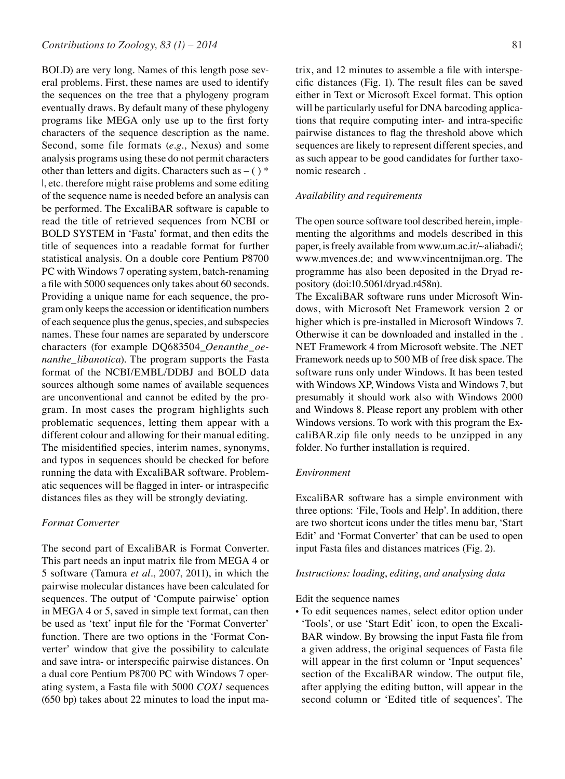BOLD) are very long. Names of this length pose several problems. First, these names are used to identify the sequences on the tree that a phylogeny program eventually draws. By default many of these phylogeny programs like MEGA only use up to the first forty characters of the sequence description as the name. Second, some file formats (*e*.*g*., Nexus) and some analysis programs using these do not permit characters other than letters and digits. Characters such as  $-()$  \* |, etc. therefore might raise problems and some editing of the sequence name is needed before an analysis can be performed. The ExcaliBAR software is capable to read the title of retrieved sequences from NCBI or BOLD SYSTEM in 'Fasta' format, and then edits the title of sequences into a readable format for further statistical analysis. On a double core Pentium P8700 PC with Windows 7 operating system, batch-renaming a file with 5000 sequences only takes about 60 seconds. Providing a unique name for each sequence, the program only keeps the accession or identification numbers of each sequence plus the genus, species, and subspecies names. These four names are separated by underscore characters (for example DQ683504\_*Oenanthe\_oenanthe\_libanotica*). The program supports the Fasta format of the NCBI/EMBL/DDBJ and BOLD data sources although some names of available sequences are unconventional and cannot be edited by the program. In most cases the program highlights such problematic sequences, letting them appear with a different colour and allowing for their manual editing. The misidentified species, interim names, synonyms, and typos in sequences should be checked for before running the data with ExcaliBAR software. Problematic sequences will be flagged in inter- or intraspecific distances files as they will be strongly deviating.

## *Format Converter*

The second part of ExcaliBAR is Format Converter. This part needs an input matrix file from MEGA 4 or 5 software (Tamura *et al*., 2007, 2011), in which the pairwise molecular distances have been calculated for sequences. The output of 'Compute pairwise' option in MEGA 4 or 5, saved in simple text format, can then be used as 'text' input file for the 'Format Converter' function. There are two options in the 'Format Converter' window that give the possibility to calculate and save intra- or interspecific pairwise distances. On a dual core Pentium P8700 PC with Windows 7 operating system, a Fasta file with 5000 *COX1* sequences (650 bp) takes about 22 minutes to load the input ma-

trix, and 12 minutes to assemble a file with interspecific distances (Fig. 1). The result files can be saved either in Text or Microsoft Excel format. This option will be particularly useful for DNA barcoding applications that require computing inter- and intra-specific pairwise distances to flag the threshold above which sequences are likely to represent different species, and as such appear to be good candidates for further taxonomic research .

### *Availability and requirements*

The open source software tool described herein, implementing the algorithms and models described in this paper, is freely available from www.um.ac.ir/~aliabadi/; www.mvences.de; and www.vincentnijman.org. The programme has also been deposited in the Dryad repository (doi:10.5061/dryad.r458n).

The ExcaliBAR software runs under Microsoft Windows, with Microsoft Net Framework version 2 or higher which is pre-installed in Microsoft Windows 7. Otherwise it can be downloaded and installed in the . NET Framework 4 from Microsoft website. The .NET Framework needs up to 500 MB of free disk space. The software runs only under Windows. It has been tested with Windows XP, Windows Vista and Windows 7, but presumably it should work also with Windows 2000 and Windows 8. Please report any problem with other Windows versions. To work with this program the ExcaliBAR.zip file only needs to be unzipped in any folder. No further installation is required.

## *Environment*

ExcaliBAR software has a simple environment with three options: 'File, Tools and Help'. In addition, there are two shortcut icons under the titles menu bar, 'Start Edit' and 'Format Converter' that can be used to open input Fasta files and distances matrices (Fig. 2).

#### *Instructions: loading*, *editing*, *and analysing data*

Edit the sequence names

• To edit sequences names, select editor option under 'Tools', or use 'Start Edit' icon, to open the Excali-BAR window. By browsing the input Fasta file from a given address, the original sequences of Fasta file will appear in the first column or 'Input sequences' section of the ExcaliBAR window. The output file, after applying the editing button, will appear in the second column or 'Edited title of sequences'. The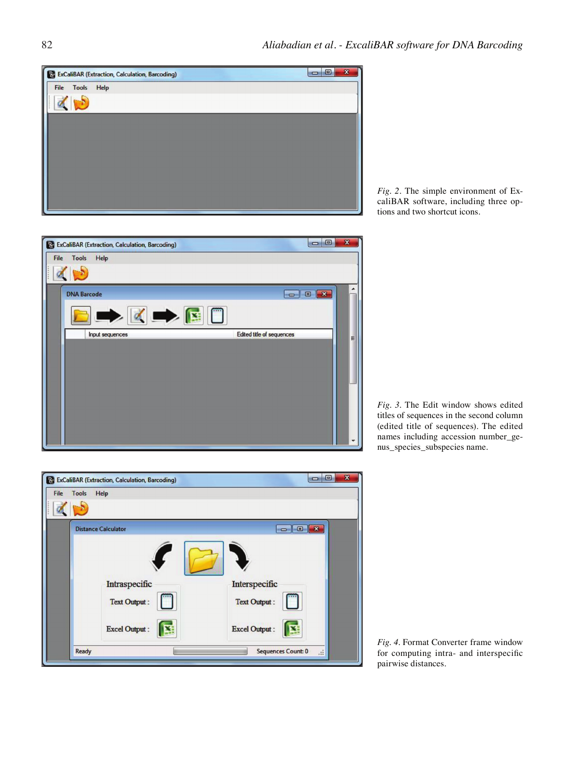

*Fig*. *2*. The simple environment of ExcaliBAR software, including three options and two shortcut icons.

| $\overline{\mathbf{x}}$<br>回<br>÷<br>ExCaliBAR (Extraction, Calculation, Barcoding) |                                |  |  |  |
|-------------------------------------------------------------------------------------|--------------------------------|--|--|--|
| Tools Help<br>File                                                                  |                                |  |  |  |
|                                                                                     |                                |  |  |  |
| <b>DNA Barcode</b>                                                                  | $\Box$ $\Box$                  |  |  |  |
|                                                                                     |                                |  |  |  |
| <b>Input sequences</b>                                                              | Edited title of sequences<br>E |  |  |  |
|                                                                                     |                                |  |  |  |
|                                                                                     |                                |  |  |  |
|                                                                                     |                                |  |  |  |
|                                                                                     |                                |  |  |  |
|                                                                                     |                                |  |  |  |
|                                                                                     |                                |  |  |  |
|                                                                                     | ٠                              |  |  |  |
|                                                                                     |                                |  |  |  |

*Fig*. *3*. The Edit window shows edited titles of sequences in the second column (edited title of sequences). The edited names including accession number\_genus\_species\_subspecies name.

| Tools<br>File | Help                       |                                           |
|---------------|----------------------------|-------------------------------------------|
|               | <b>Distance Calculator</b> | $\mathbf{x}$<br>Θ<br>Ō                    |
|               |                            |                                           |
|               | Intraspecific              | Interspecific                             |
|               | <b>Text Output:</b>        | <b>Text Output:</b>                       |
|               | <b>Excel Output:</b>       | <b>Excel Output:</b>                      |
| Ready         |                            | <b>Sequences Count: 0</b><br>$\therefore$ |

*Fig*. *4*. Format Converter frame window for computing intra- and interspecific pairwise distances.